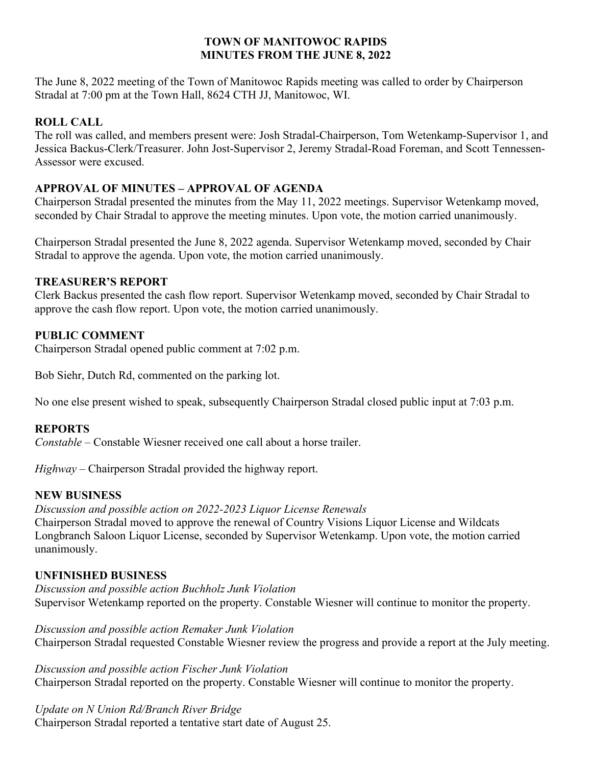#### **TOWN OF MANITOWOC RAPIDS MINUTES FROM THE JUNE 8, 2022**

The June 8, 2022 meeting of the Town of Manitowoc Rapids meeting was called to order by Chairperson Stradal at 7:00 pm at the Town Hall, 8624 CTH JJ, Manitowoc, WI.

# **ROLL CALL**

The roll was called, and members present were: Josh Stradal-Chairperson, Tom Wetenkamp-Supervisor 1, and Jessica Backus-Clerk/Treasurer. John Jost-Supervisor 2, Jeremy Stradal-Road Foreman, and Scott Tennessen-Assessor were excused.

## **APPROVAL OF MINUTES – APPROVAL OF AGENDA**

Chairperson Stradal presented the minutes from the May 11, 2022 meetings. Supervisor Wetenkamp moved, seconded by Chair Stradal to approve the meeting minutes. Upon vote, the motion carried unanimously.

Chairperson Stradal presented the June 8, 2022 agenda. Supervisor Wetenkamp moved, seconded by Chair Stradal to approve the agenda. Upon vote, the motion carried unanimously.

## **TREASURER'S REPORT**

Clerk Backus presented the cash flow report. Supervisor Wetenkamp moved, seconded by Chair Stradal to approve the cash flow report. Upon vote, the motion carried unanimously.

## **PUBLIC COMMENT**

Chairperson Stradal opened public comment at 7:02 p.m.

Bob Siehr, Dutch Rd, commented on the parking lot.

No one else present wished to speak, subsequently Chairperson Stradal closed public input at 7:03 p.m.

#### **REPORTS**

*Constable –* Constable Wiesner received one call about a horse trailer.

*Highway* – Chairperson Stradal provided the highway report.

#### **NEW BUSINESS**

*Discussion and possible action on 2022-2023 Liquor License Renewals* Chairperson Stradal moved to approve the renewal of Country Visions Liquor License and Wildcats Longbranch Saloon Liquor License, seconded by Supervisor Wetenkamp. Upon vote, the motion carried unanimously.

#### **UNFINISHED BUSINESS**

*Discussion and possible action Buchholz Junk Violation* Supervisor Wetenkamp reported on the property. Constable Wiesner will continue to monitor the property.

*Discussion and possible action Remaker Junk Violation* Chairperson Stradal requested Constable Wiesner review the progress and provide a report at the July meeting.

*Discussion and possible action Fischer Junk Violation* Chairperson Stradal reported on the property. Constable Wiesner will continue to monitor the property.

*Update on N Union Rd/Branch River Bridge* Chairperson Stradal reported a tentative start date of August 25.